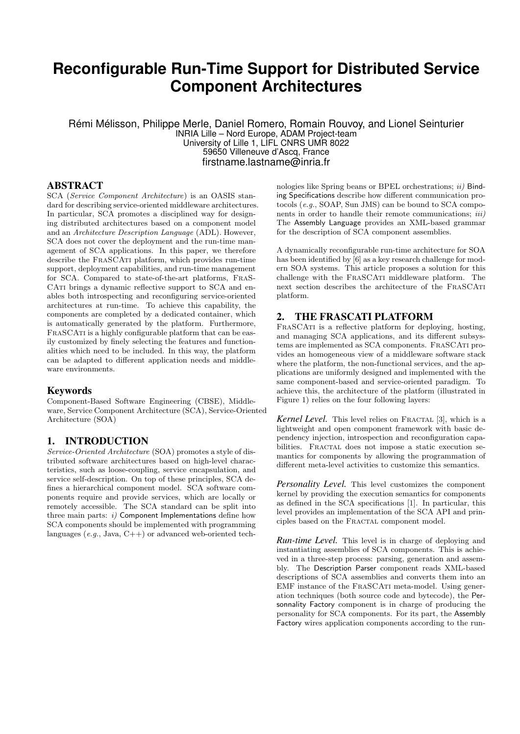# **Reconfigurable Run-Time Support for Distributed Service Component Architectures**

Rémi Mélisson, Philippe Merle, Daniel Romero, Romain Rouvoy, and Lionel Seinturier INRIA Lille – Nord Europe, ADAM Project-team University of Lille 1, LIFL CNRS UMR 8022 59650 Villeneuve d'Ascq, France firstname.lastname@inria.fr

### ABSTRACT

SCA (Service Component Architecture) is an OASIS standard for describing service-oriented middleware architectures. In particular, SCA promotes a disciplined way for designing distributed architectures based on a component model and an Architecture Description Language (ADL). However, SCA does not cover the deployment and the run-time management of SCA applications. In this paper, we therefore describe the FRASCATI platform, which provides run-time support, deployment capabilities, and run-time management for SCA. Compared to state-of-the-art platforms, FraS-CATI brings a dynamic reflective support to SCA and enables both introspecting and reconfiguring service-oriented architectures at run-time. To achieve this capability, the components are completed by a dedicated container, which is automatically generated by the platform. Furthermore, FRASCATI is a highly configurable platform that can be easily customized by finely selecting the features and functionalities which need to be included. In this way, the platform can be adapted to different application needs and middleware environments.

#### Keywords

Component-Based Software Engineering (CBSE), Middleware, Service Component Architecture (SCA), Service-Oriented Architecture (SOA)

#### 1. INTRODUCTION

Service-Oriented Architecture (SOA) promotes a style of distributed software architectures based on high-level characteristics, such as loose-coupling, service encapsulation, and service self-description. On top of these principles, SCA defines a hierarchical component model. SCA software components require and provide services, which are locally or remotely accessible. The SCA standard can be split into three main parts:  $i)$  Component Implementations define how SCA components should be implemented with programming languages (e.g., Java, C++) or advanced web-oriented technologies like Spring beans or BPEL orchestrations;  $ii)$  Binding Specifications describe how different communication protocols (e.g., SOAP, Sun JMS) can be bound to SCA components in order to handle their remote communications; *iii*) The Assembly Language provides an XML-based grammar for the description of SCA component assemblies.

A dynamically reconfigurable run-time architecture for SOA has been identified by [6] as a key research challenge for modern SOA systems. This article proposes a solution for this challenge with the FraSCAti middleware platform. The next section describes the architecture of the FRASCATI platform.

### 2. THE FRASCATI PLATFORM

FRASCATI is a reflective platform for deploying, hosting, and managing SCA applications, and its different subsystems are implemented as SCA components. FraSCAti provides an homogeneous view of a middleware software stack where the platform, the non-functional services, and the applications are uniformly designed and implemented with the same component-based and service-oriented paradigm. To achieve this, the architecture of the platform (illustrated in Figure 1) relies on the four following layers:

Kernel Level. This level relies on FRACTAL [3], which is a lightweight and open component framework with basic dependency injection, introspection and reconfiguration capabilities. FRACTAL does not impose a static execution semantics for components by allowing the programmation of different meta-level activities to customize this semantics.

*Personality Level.* This level customizes the component kernel by providing the execution semantics for components as defined in the SCA specifications [1]. In particular, this level provides an implementation of the SCA API and principles based on the FRACTAL component model.

*Run-time Level.* This level is in charge of deploying and instantiating assemblies of SCA components. This is achieved in a three-step process: parsing, generation and assembly. The Description Parser component reads XML-based descriptions of SCA assemblies and converts them into an EMF instance of the FraSCAti meta-model. Using generation techniques (both source code and bytecode), the Personnality Factory component is in charge of producing the personality for SCA components. For its part, the Assembly Factory wires application components according to the run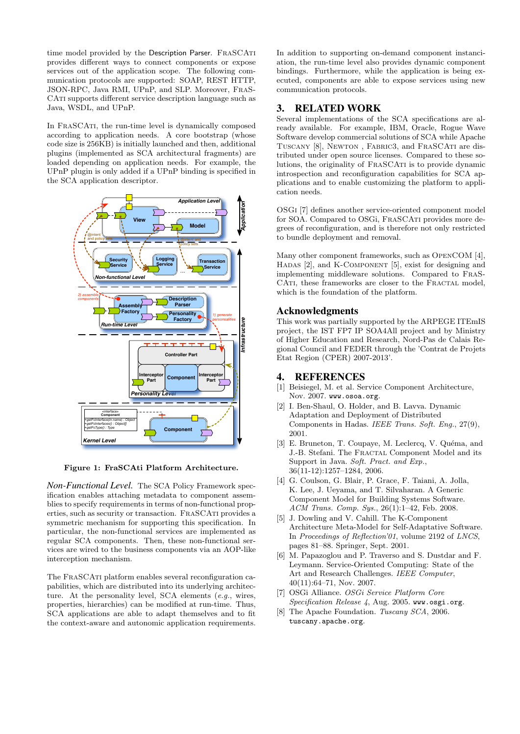time model provided by the Description Parser. FRASCATI provides different ways to connect components or expose services out of the application scope. The following communication protocols are supported: SOAP, REST HTTP, JSON-RPC, Java RMI, UPnP, and SLP. Moreover, FraS-CATI supports different service description language such as Java, WSDL, and UPnP.

In FraSCAti, the run-time level is dynamically composed according to application needs. A core bootstrap (whose code size is 256KB) is initially launched and then, additional plugins (implemented as SCA architectural fragments) are loaded depending on application needs. For example, the UPnP plugin is only added if a UPnP binding is specified in the SCA application descriptor.



Figure 1: FraSCAti Platform Architecture.

*Non-Functional Level.* The SCA Policy Framework specification enables attaching metadata to component assemblies to specify requirements in terms of non-functional properties, such as security or transaction. FraSCAti provides a symmetric mechanism for supporting this specification. In particular, the non-functional services are implemented as regular SCA components. Then, these non-functional services are wired to the business components via an AOP-like interception mechanism.

The FraSCAti platform enables several reconfiguration capabilities, which are distributed into its underlying architecture. At the personality level, SCA elements (e.g., wires, properties, hierarchies) can be modified at run-time. Thus, SCA applications are able to adapt themselves and to fit the context-aware and autonomic application requirements. In addition to supporting on-demand component instanciation, the run-time level also provides dynamic component bindings. Furthermore, while the application is being executed, components are able to expose services using new communication protocols.

### 3. RELATED WORK

Several implementations of the SCA specifications are already available. For example, IBM, Oracle, Rogue Wave Software develop commercial solutions of SCA while Apache Tuscany [8], Newton , Fabric3, and FraSCAti are distributed under open source licenses. Compared to these solutions, the originality of FraSCAti is to provide dynamic introspection and reconfiguration capabilities for SCA applications and to enable customizing the platform to application needs.

OSGi [7] defines another service-oriented component model for SOA. Compared to OSGi, FraSCAti provides more degrees of reconfiguration, and is therefore not only restricted to bundle deployment and removal.

Many other component frameworks, such as OpenCOM [4], HADAS [2], and K-COMPONENT [5], exist for designing and implementing middleware solutions. Compared to FraS-CATI, these frameworks are closer to the FRACTAL model, which is the foundation of the platform.

### Acknowledgments

This work was partially supported by the ARPEGE ITEmIS project, the IST FP7 IP SOA4All project and by Ministry of Higher Education and Research, Nord-Pas de Calais Regional Council and FEDER through the 'Contrat de Projets Etat Region (CPER) 2007-2013'.

### 4. REFERENCES

- [1] Beisiegel, M. et al. Service Component Architecture, Nov. 2007. www.osoa.org.
- [2] I. Ben-Shaul, O. Holder, and B. Lavva. Dynamic Adaptation and Deployment of Distributed Components in Hadas. IEEE Trans. Soft. Eng., 27(9), 2001.
- [3] E. Bruneton, T. Coupaye, M. Leclercq, V. Quéma, and J.-B. Stefani. The FRACTAL Component Model and its Support in Java. Soft. Pract. and Exp., 36(11-12):1257–1284, 2006.
- [4] G. Coulson, G. Blair, P. Grace, F. Taiani, A. Jolla, K. Lee, J. Ueyama, and T. Silvaharan. A Generic Component Model for Building Systems Software. ACM Trans. Comp. Sys., 26(1):1–42, Feb. 2008.
- [5] J. Dowling and V. Cahill. The K-Component Architecture Meta-Model for Self-Adaptative Software. In Proceedings of Reflection'01, volume 2192 of LNCS, pages 81–88. Springer, Sept. 2001.
- [6] M. Papazoglou and P. Traverso and S. Dustdar and F. Leymann. Service-Oriented Computing: State of the Art and Research Challenges. IEEE Computer, 40(11):64–71, Nov. 2007.
- [7] OSGi Alliance. OSGi Service Platform Core Specification Release 4, Aug. 2005. www.osgi.org.
- [8] The Apache Foundation. Tuscany SCA, 2006. tuscany.apache.org.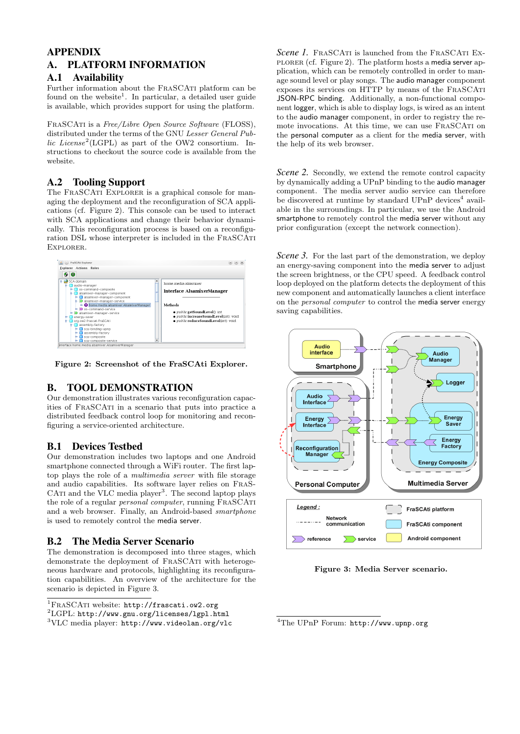# APPENDIX A. PLATFORM INFORMATION

### A.1 Availability

Further information about the FRASCATI platform can be found on the website<sup>1</sup>. In particular, a detailed user guide is available, which provides support for using the platform.

FRASCATI is a Free/Libre Open Source Software (FLOSS), distributed under the terms of the GNU Lesser General Public License<sup>2</sup>(LGPL) as part of the OW2 consortium. Instructions to checkout the source code is available from the website.

## A.2 Tooling Support

The FRASCATI EXPLORER is a graphical console for managing the deployment and the reconfiguration of SCA applications (cf. Figure 2). This console can be used to interact with SCA applications and change their behavior dynamically. This reconfiguration process is based on a reconfiguration DSL whose interpreter is included in the FraSCAti Explorer.



Figure 2: Screenshot of the FraSCAti Explorer.

# B. TOOL DEMONSTRATION

Our demonstration illustrates various reconfiguration capacities of FraSCAti in a scenario that puts into practice a distributed feedback control loop for monitoring and reconfiguring a service-oriented architecture.

## B.1 Devices Testbed

Our demonstration includes two laptops and one Android smartphone connected through a WiFi router. The first laptop plays the role of a multimedia server with file storage and audio capabilities. Its software layer relies on FraS-CATI and the VLC media player<sup>3</sup>. The second laptop plays the role of a regular *personal computer*, running FRASCATI and a web browser. Finally, an Android-based smartphone is used to remotely control the media server.

## B.2 The Media Server Scenario

The demonstration is decomposed into three stages, which demonstrate the deployment of FRASCATI with heterogeneous hardware and protocols, highlighting its reconfiguration capabilities. An overview of the architecture for the scenario is depicted in Figure 3.

<sup>1</sup>FRASCATI website: http://frascati.ow2.org

*Scene 1.* FRASCATI is launched from the FRASCATI EXplorer (cf. Figure 2). The platform hosts a media server application, which can be remotely controlled in order to manage sound level or play songs. The audio manager component exposes its services on HTTP by means of the FraSCAti JSON-RPC binding. Additionally, a non-functional component logger, which is able to display logs, is wired as an intent to the audio manager component, in order to registry the remote invocations. At this time, we can use FraSCAti on the personal computer as a client for the media server, with the help of its web browser.

*Scene 2.* Secondly, we extend the remote control capacity by dynamically adding a UPnP binding to the audio manager component. The media server audio service can therefore be discovered at runtime by standard UPnP devices<sup>4</sup> available in the surroundings. In particular, we use the Android smartphone to remotely control the media server without any prior configuration (except the network connection).

*Scene 3.* For the last part of the demonstration, we deploy an energy-saving component into the media server to adjust the screen brightness, or the CPU speed. A feedback control loop deployed on the platform detects the deployment of this new component and automatically launches a client interface on the personal computer to control the media server energy saving capabilities.



Figure 3: Media Server scenario.

 $^{2}$ LGPL: http://www.gnu.org/licenses/1gpl.html

<sup>3</sup>VLC media player: http://www.videolan.org/vlc

<sup>4</sup>The UPnP Forum: http://www.upnp.org